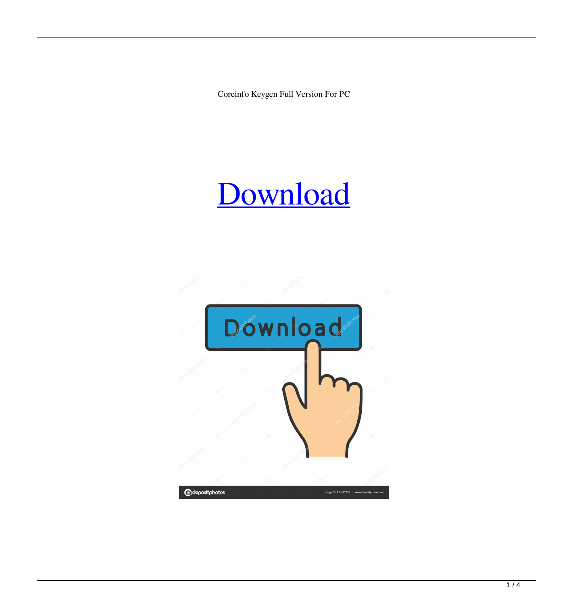Coreinfo Keygen Full Version For PC

# [Download](http://evacdir.com/accumbens/clumpy/irrationally&miele/precipitation/ZG93bmxvYWR8VUgxTTI1amRueDhNVFkxTkRRek5qWTFPSHg4TWpVNU1IeDhLRTBwSUZkdmNtUndjbVZ6Y3lCYldFMU1VbEJESUZZeUlGQkVSbDA.Q29yZWluZm8Q29.establish)

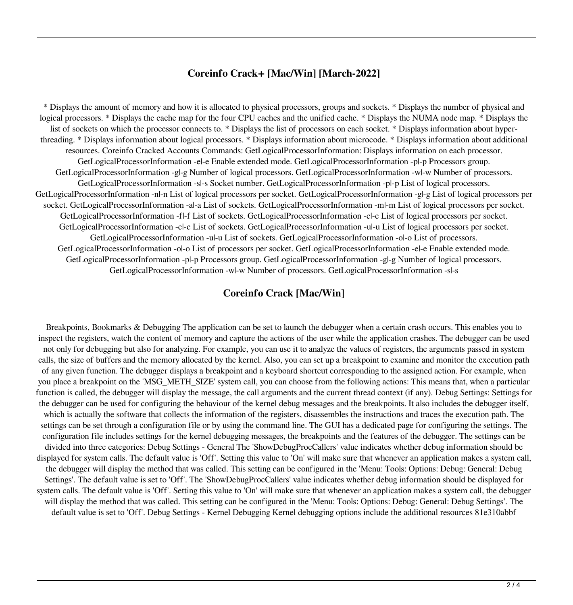#### **Coreinfo Crack+ [Mac/Win] [March-2022]**

\* Displays the amount of memory and how it is allocated to physical processors, groups and sockets. \* Displays the number of physical and logical processors. \* Displays the cache map for the four CPU caches and the unified cache. \* Displays the NUMA node map. \* Displays the list of sockets on which the processor connects to. \* Displays the list of processors on each socket. \* Displays information about hyperthreading. \* Displays information about logical processors. \* Displays information about microcode. \* Displays information about additional resources. Coreinfo Cracked Accounts Commands: GetLogicalProcessorInformation: Displays information on each processor. GetLogicalProcessorInformation -e|-e Enable extended mode. GetLogicalProcessorInformation -p|-p Processors group. GetLogicalProcessorInformation -g|-g Number of logical processors. GetLogicalProcessorInformation -w|-w Number of processors. GetLogicalProcessorInformation -s|-s Socket number. GetLogicalProcessorInformation -p|-p List of logical processors. GetLogicalProcessorInformation -n|-n List of logical processors per socket. GetLogicalProcessorInformation -g|-g List of logical processors per socket. GetLogicalProcessorInformation -a|-a List of sockets. GetLogicalProcessorInformation -m|-m List of logical processors per socket. GetLogicalProcessorInformation -f|-f List of sockets. GetLogicalProcessorInformation -c|-c List of logical processors per socket. GetLogicalProcessorInformation -c|-c List of sockets. GetLogicalProcessorInformation -u|-u List of logical processors per socket. GetLogicalProcessorInformation -u|-u List of sockets. GetLogicalProcessorInformation -o|-o List of processors. GetLogicalProcessorInformation -o|-o List of processors per socket. GetLogicalProcessorInformation -e|-e Enable extended mode. GetLogicalProcessorInformation -p|-p Processors group. GetLogicalProcessorInformation -g|-g Number of logical processors. GetLogicalProcessorInformation -w|-w Number of processors. GetLogicalProcessorInformation -s|-s

#### **Coreinfo Crack [Mac/Win]**

Breakpoints, Bookmarks & Debugging The application can be set to launch the debugger when a certain crash occurs. This enables you to inspect the registers, watch the content of memory and capture the actions of the user while the application crashes. The debugger can be used not only for debugging but also for analyzing. For example, you can use it to analyze the values of registers, the arguments passed in system calls, the size of buffers and the memory allocated by the kernel. Also, you can set up a breakpoint to examine and monitor the execution path of any given function. The debugger displays a breakpoint and a keyboard shortcut corresponding to the assigned action. For example, when you place a breakpoint on the 'MSG\_METH\_SIZE' system call, you can choose from the following actions: This means that, when a particular function is called, the debugger will display the message, the call arguments and the current thread context (if any). Debug Settings: Settings for the debugger can be used for configuring the behaviour of the kernel debug messages and the breakpoints. It also includes the debugger itself, which is actually the software that collects the information of the registers, disassembles the instructions and traces the execution path. The settings can be set through a configuration file or by using the command line. The GUI has a dedicated page for configuring the settings. The configuration file includes settings for the kernel debugging messages, the breakpoints and the features of the debugger. The settings can be divided into three categories: Debug Settings - General The 'ShowDebugProcCallers' value indicates whether debug information should be displayed for system calls. The default value is 'Off'. Setting this value to 'On' will make sure that whenever an application makes a system call, the debugger will display the method that was called. This setting can be configured in the 'Menu: Tools: Options: Debug: General: Debug Settings'. The default value is set to 'Off'. The 'ShowDebugProcCallers' value indicates whether debug information should be displayed for system calls. The default value is 'Off'. Setting this value to 'On' will make sure that whenever an application makes a system call, the debugger will display the method that was called. This setting can be configured in the 'Menu: Tools: Options: Debug: General: Debug Settings'. The default value is set to 'Off'. Debug Settings - Kernel Debugging Kernel debugging options include the additional resources 81e310abbf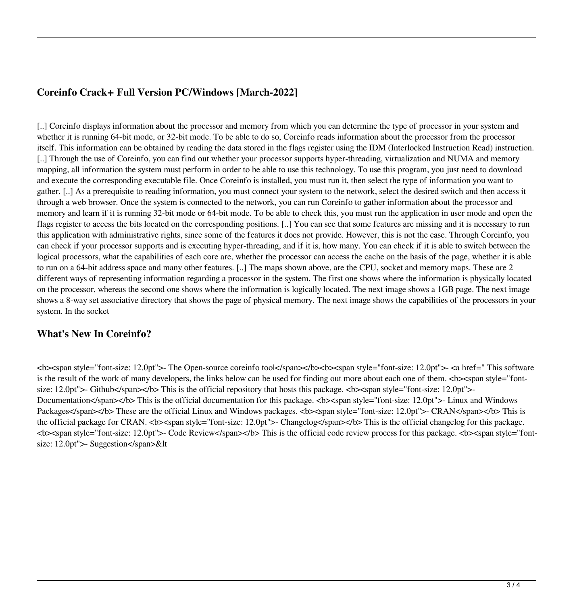## **Coreinfo Crack+ Full Version PC/Windows [March-2022]**

[..] Coreinfo displays information about the processor and memory from which you can determine the type of processor in your system and whether it is running 64-bit mode, or 32-bit mode. To be able to do so, Coreinfo reads information about the processor from the processor itself. This information can be obtained by reading the data stored in the flags register using the IDM (Interlocked Instruction Read) instruction. [..] Through the use of Coreinfo, you can find out whether your processor supports hyper-threading, virtualization and NUMA and memory mapping, all information the system must perform in order to be able to use this technology. To use this program, you just need to download and execute the corresponding executable file. Once Coreinfo is installed, you must run it, then select the type of information you want to gather. [..] As a prerequisite to reading information, you must connect your system to the network, select the desired switch and then access it through a web browser. Once the system is connected to the network, you can run Coreinfo to gather information about the processor and memory and learn if it is running 32-bit mode or 64-bit mode. To be able to check this, you must run the application in user mode and open the flags register to access the bits located on the corresponding positions. [..] You can see that some features are missing and it is necessary to run this application with administrative rights, since some of the features it does not provide. However, this is not the case. Through Coreinfo, you can check if your processor supports and is executing hyper-threading, and if it is, how many. You can check if it is able to switch between the logical processors, what the capabilities of each core are, whether the processor can access the cache on the basis of the page, whether it is able to run on a 64-bit address space and many other features. [..] The maps shown above, are the CPU, socket and memory maps. These are 2 different ways of representing information regarding a processor in the system. The first one shows where the information is physically located on the processor, whereas the second one shows where the information is logically located. The next image shows a 1GB page. The next image shows a 8-way set associative directory that shows the page of physical memory. The next image shows the capabilities of the processors in your system. In the socket

### **What's New In Coreinfo?**

<b><span style="font-size: 12.0pt">- The Open-source coreinfo tool</span></b><b><span style="font-size: 12.0pt">- <a href=" This software is the result of the work of many developers, the links below can be used for finding out more about each one of them.  $\langle b \rangle$   $\langle$ span style="fontsize: 12.0pt">- Github</span></b> This is the official repository that hosts this package.  $\langle$ b><span style="font-size: 12.0pt">-Documentation</span></b> This is the official documentation for this package.  $$ Packages</span></b> These are the official Linux and Windows packages.  $**>**$ **span style="font-size: 12.0pt">- CRAN</span></b> This is** the official package for CRAN.  $< b<$ span style="font-size: 12.0pt">- Changelog $<$ /span> $<$ /b> This is the official changelog for this package. **<bs** <span style="font-size: 12.0pt">- Code Review</span></b> This is the official code review process for this package.  $\langle$ b>  $\langle$ span style="fontsize: 12.0pt">- Suggestion</span>&lt